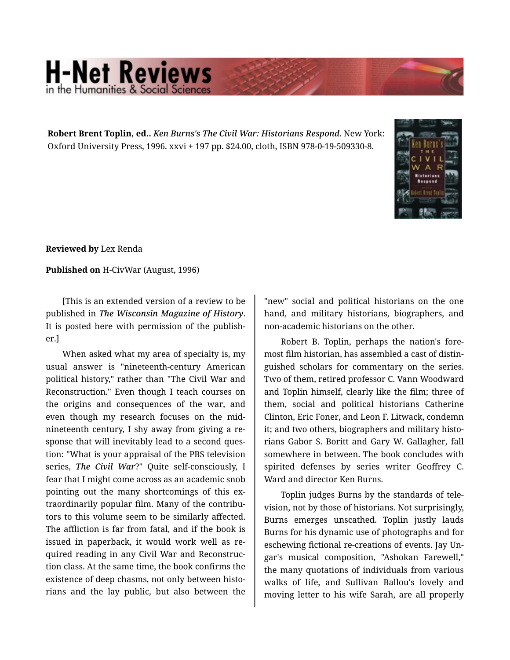## **H-Net Reviews** in the Humanities & Social S

**Robert Brent Toplin, ed..** *Ken Burns's The Civil War: Historians Respond.* New York: Oxford University Press, 1996. xxvi + 197 pp. \$24.00, cloth, ISBN 978-0-19-509330-8.



**Reviewed by** Lex Renda

**Published on** H-CivWar (August, 1996)

[This is an extended version of a review to be published in *The Wisconsin Magazine of History*. It is posted here with permission of the publish‐ er.]

When asked what my area of specialty is, my usual answer is "nineteenth-century American political history," rather than "The Civil War and Reconstruction." Even though I teach courses on the origins and consequences of the war, and even though my research focuses on the midnineteenth century, I shy away from giving a re‐ sponse that will inevitably lead to a second question: "What is your appraisal of the PBS television series, *The Civil War*?" Quite self-consciously, I fear that I might come across as an academic snob pointing out the many shortcomings of this extraordinarily popular film. Many of the contribu‐ tors to this volume seem to be similarly affected. The affliction is far from fatal, and if the book is issued in paperback, it would work well as re‐ quired reading in any Civil War and Reconstruc‐ tion class. At the same time, the book confirms the existence of deep chasms, not only between historians and the lay public, but also between the

"new" social and political historians on the one hand, and military historians, biographers, and non-academic historians on the other.

Robert B. Toplin, perhaps the nation's fore‐ most film historian, has assembled a cast of distin‐ guished scholars for commentary on the series. Two of them, retired professor C. Vann Woodward and Toplin himself, clearly like the film; three of them, social and political historians Catherine Clinton, Eric Foner, and Leon F. Litwack, condemn it; and two others, biographers and military histo‐ rians Gabor S. Boritt and Gary W. Gallagher, fall somewhere in between. The book concludes with spirited defenses by series writer Geoffrey C. Ward and director Ken Burns.

Toplin judges Burns by the standards of tele‐ vision, not by those of historians. Not surprisingly, Burns emerges unscathed. Toplin justly lauds Burns for his dynamic use of photographs and for eschewing fictional re-creations of events. Jay Un‐ gar's musical composition, "Ashokan Farewell," the many quotations of individuals from various walks of life, and Sullivan Ballou's lovely and moving letter to his wife Sarah, are all properly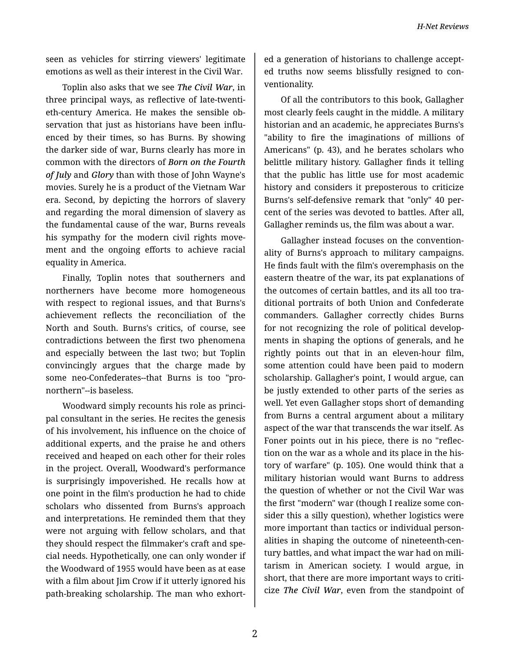seen as vehicles for stirring viewers' legitimate emotions as well as their interest in the Civil War.

Toplin also asks that we see *The Civil War*, in three principal ways, as reflective of late-twenti‐ eth-century America. He makes the sensible ob‐ servation that just as historians have been influenced by their times, so has Burns. By showing the darker side of war, Burns clearly has more in common with the directors of *Born on the Fourth of July* and *Glory* than with those of John Wayne's movies. Surely he is a product of the Vietnam War era. Second, by depicting the horrors of slavery and regarding the moral dimension of slavery as the fundamental cause of the war, Burns reveals his sympathy for the modern civil rights move‐ ment and the ongoing efforts to achieve racial equality in America.

Finally, Toplin notes that southerners and northerners have become more homogeneous with respect to regional issues, and that Burns's achievement reflects the reconciliation of the North and South. Burns's critics, of course, see contradictions between the first two phenomena and especially between the last two; but Toplin convincingly argues that the charge made by some neo-Confederates--that Burns is too "pronorthern"--is baseless.

Woodward simply recounts his role as princi‐ pal consultant in the series. He recites the genesis of his involvement, his influence on the choice of additional experts, and the praise he and others received and heaped on each other for their roles in the project. Overall, Woodward's performance is surprisingly impoverished. He recalls how at one point in the film's production he had to chide scholars who dissented from Burns's approach and interpretations. He reminded them that they were not arguing with fellow scholars, and that they should respect the filmmaker's craft and spe‐ cial needs. Hypothetically, one can only wonder if the Woodward of 1955 would have been as at ease with a film about Jim Crow if it utterly ignored his path-breaking scholarship. The man who exhort‐

ed a generation of historians to challenge accept‐ ed truths now seems blissfully resigned to con‐ ventionality.

Of all the contributors to this book, Gallagher most clearly feels caught in the middle. A military historian and an academic, he appreciates Burns's "ability to fire the imaginations of millions of Americans" (p. 43), and he berates scholars who belittle military history. Gallagher finds it telling that the public has little use for most academic history and considers it preposterous to criticize Burns's self-defensive remark that "only" 40 per‐ cent of the series was devoted to battles. After all, Gallagher reminds us, the film was about a war.

Gallagher instead focuses on the convention‐ ality of Burns's approach to military campaigns. He finds fault with the film's overemphasis on the eastern theatre of the war, its pat explanations of the outcomes of certain battles, and its all too tra‐ ditional portraits of both Union and Confederate commanders. Gallagher correctly chides Burns for not recognizing the role of political develop‐ ments in shaping the options of generals, and he rightly points out that in an eleven-hour film, some attention could have been paid to modern scholarship. Gallagher's point, I would argue, can be justly extended to other parts of the series as well. Yet even Gallagher stops short of demanding from Burns a central argument about a military aspect of the war that transcends the war itself. As Foner points out in his piece, there is no "reflec‐ tion on the war as a whole and its place in the his‐ tory of warfare" (p. 105). One would think that a military historian would want Burns to address the question of whether or not the Civil War was the first "modern" war (though I realize some con‐ sider this a silly question), whether logistics were more important than tactics or individual person‐ alities in shaping the outcome of nineteenth-cen‐ tury battles, and what impact the war had on mili‐ tarism in American society. I would argue, in short, that there are more important ways to criti‐ cize *The Civil War*, even from the standpoint of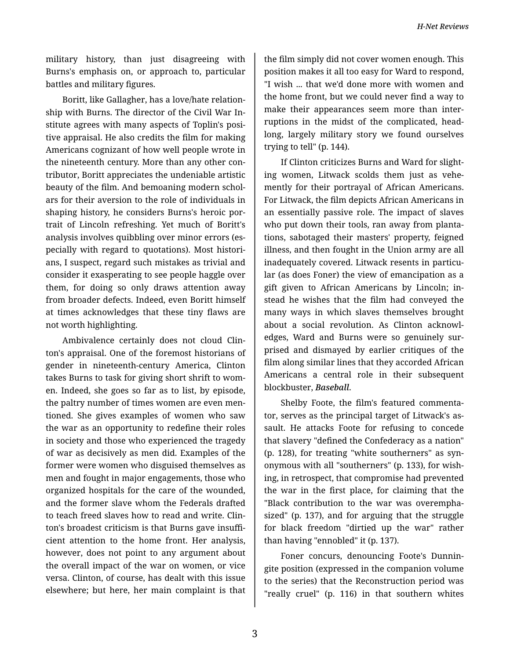*H-Net Reviews*

military history, than just disagreeing with Burns's emphasis on, or approach to, particular battles and military figures.

Boritt, like Gallagher, has a love/hate relation‐ ship with Burns. The director of the Civil War In‐ stitute agrees with many aspects of Toplin's posi‐ tive appraisal. He also credits the film for making Americans cognizant of how well people wrote in the nineteenth century. More than any other con‐ tributor, Boritt appreciates the undeniable artistic beauty of the film. And bemoaning modern schol‐ ars for their aversion to the role of individuals in shaping history, he considers Burns's heroic por‐ trait of Lincoln refreshing. Yet much of Boritt's analysis involves quibbling over minor errors (es‐ pecially with regard to quotations). Most histori‐ ans, I suspect, regard such mistakes as trivial and consider it exasperating to see people haggle over them, for doing so only draws attention away from broader defects. Indeed, even Boritt himself at times acknowledges that these tiny flaws are not worth highlighting.

Ambivalence certainly does not cloud Clin‐ ton's appraisal. One of the foremost historians of gender in nineteenth-century America, Clinton takes Burns to task for giving short shrift to wom‐ en. Indeed, she goes so far as to list, by episode, the paltry number of times women are even men‐ tioned. She gives examples of women who saw the war as an opportunity to redefine their roles in society and those who experienced the tragedy of war as decisively as men did. Examples of the former were women who disguised themselves as men and fought in major engagements, those who organized hospitals for the care of the wounded, and the former slave whom the Federals drafted to teach freed slaves how to read and write. Clin‐ ton's broadest criticism is that Burns gave insuffi‐ cient attention to the home front. Her analysis, however, does not point to any argument about the overall impact of the war on women, or vice versa. Clinton, of course, has dealt with this issue elsewhere; but here, her main complaint is that

the film simply did not cover women enough. This position makes it all too easy for Ward to respond, "I wish ... that we'd done more with women and the home front, but we could never find a way to make their appearances seem more than inter‐ ruptions in the midst of the complicated, headlong, largely military story we found ourselves trying to tell" (p. 144).

If Clinton criticizes Burns and Ward for slight‐ ing women, Litwack scolds them just as vehe‐ mently for their portrayal of African Americans. For Litwack, the film depicts African Americans in an essentially passive role. The impact of slaves who put down their tools, ran away from plantations, sabotaged their masters' property, feigned illness, and then fought in the Union army are all inadequately covered. Litwack resents in particular (as does Foner) the view of emancipation as a gift given to African Americans by Lincoln; in‐ stead he wishes that the film had conveyed the many ways in which slaves themselves brought about a social revolution. As Clinton acknowl‐ edges, Ward and Burns were so genuinely sur‐ prised and dismayed by earlier critiques of the film along similar lines that they accorded African Americans a central role in their subsequent blockbuster, *Baseball*.

Shelby Foote, the film's featured commenta‐ tor, serves as the principal target of Litwack's as‐ sault. He attacks Foote for refusing to concede that slavery "defined the Confederacy as a nation" (p. 128), for treating "white southerners" as syn‐ onymous with all "southerners" (p. 133), for wish‐ ing, in retrospect, that compromise had prevented the war in the first place, for claiming that the "Black contribution to the war was overempha‐ sized" (p. 137), and for arguing that the struggle for black freedom "dirtied up the war" rather than having "ennobled" it (p. 137).

Foner concurs, denouncing Foote's Dunnin‐ gite position (expressed in the companion volume to the series) that the Reconstruction period was "really cruel" (p. 116) in that southern whites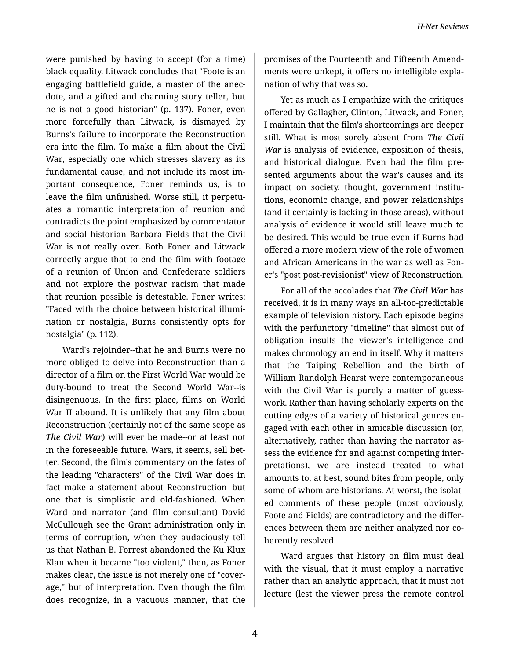were punished by having to accept (for a time) black equality. Litwack concludes that "Foote is an engaging battlefield guide, a master of the anec‐ dote, and a gifted and charming story teller, but he is not a good historian" (p. 137). Foner, even more forcefully than Litwack, is dismayed by Burns's failure to incorporate the Reconstruction era into the film. To make a film about the Civil War, especially one which stresses slavery as its fundamental cause, and not include its most im‐ portant consequence, Foner reminds us, is to leave the film unfinished. Worse still, it perpetu‐ ates a romantic interpretation of reunion and contradicts the point emphasized by commentator and social historian Barbara Fields that the Civil War is not really over. Both Foner and Litwack correctly argue that to end the film with footage of a reunion of Union and Confederate soldiers and not explore the postwar racism that made that reunion possible is detestable. Foner writes: "Faced with the choice between historical illumi‐ nation or nostalgia, Burns consistently opts for nostalgia" (p. 112).

Ward's rejoinder--that he and Burns were no more obliged to delve into Reconstruction than a director of a film on the First World War would be duty-bound to treat the Second World War--is disingenuous. In the first place, films on World War II abound. It is unlikely that any film about Reconstruction (certainly not of the same scope as *The Civil War*) will ever be made--or at least not in the foreseeable future. Wars, it seems, sell bet‐ ter. Second, the film's commentary on the fates of the leading "characters" of the Civil War does in fact make a statement about Reconstruction--but one that is simplistic and old-fashioned. When Ward and narrator (and film consultant) David McCullough see the Grant administration only in terms of corruption, when they audaciously tell us that Nathan B. Forrest abandoned the Ku Klux Klan when it became "too violent," then, as Foner makes clear, the issue is not merely one of "cover‐ age," but of interpretation. Even though the film does recognize, in a vacuous manner, that the

promises of the Fourteenth and Fifteenth Amend‐ ments were unkept, it offers no intelligible expla‐ nation of why that was so.

Yet as much as I empathize with the critiques offered by Gallagher, Clinton, Litwack, and Foner, I maintain that the film's shortcomings are deeper still. What is most sorely absent from *The Civil War* is analysis of evidence, exposition of thesis, and historical dialogue. Even had the film pre‐ sented arguments about the war's causes and its impact on society, thought, government institutions, economic change, and power relationships (and it certainly is lacking in those areas), without analysis of evidence it would still leave much to be desired. This would be true even if Burns had offered a more modern view of the role of women and African Americans in the war as well as Fon‐ er's "post post-revisionist" view of Reconstruction.

For all of the accolades that *The Civil War* has received, it is in many ways an all-too-predictable example of television history. Each episode begins with the perfunctory "timeline" that almost out of obligation insults the viewer's intelligence and makes chronology an end in itself. Why it matters that the Taiping Rebellion and the birth of William Randolph Hearst were contemporaneous with the Civil War is purely a matter of guesswork. Rather than having scholarly experts on the cutting edges of a variety of historical genres en‐ gaged with each other in amicable discussion (or, alternatively, rather than having the narrator as‐ sess the evidence for and against competing inter‐ pretations), we are instead treated to what amounts to, at best, sound bites from people, only some of whom are historians. At worst, the isolat‐ ed comments of these people (most obviously, Foote and Fields) are contradictory and the differ‐ ences between them are neither analyzed nor co‐ herently resolved.

Ward argues that history on film must deal with the visual, that it must employ a narrative rather than an analytic approach, that it must not lecture (lest the viewer press the remote control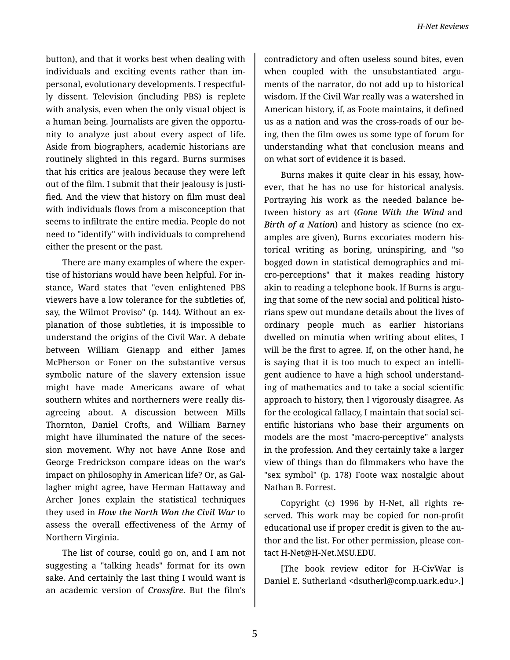button), and that it works best when dealing with individuals and exciting events rather than im‐ personal, evolutionary developments. I respectful‐ ly dissent. Television (including PBS) is replete with analysis, even when the only visual object is a human being. Journalists are given the opportu‐ nity to analyze just about every aspect of life. Aside from biographers, academic historians are routinely slighted in this regard. Burns surmises that his critics are jealous because they were left out of the film. I submit that their jealousy is justi‐ fied. And the view that history on film must deal with individuals flows from a misconception that seems to infiltrate the entire media. People do not need to "identify" with individuals to comprehend either the present or the past.

There are many examples of where the exper‐ tise of historians would have been helpful. For in‐ stance, Ward states that "even enlightened PBS viewers have a low tolerance for the subtleties of, say, the Wilmot Proviso" (p. 144). Without an ex‐ planation of those subtleties, it is impossible to understand the origins of the Civil War. A debate between William Gienapp and either James McPherson or Foner on the substantive versus symbolic nature of the slavery extension issue might have made Americans aware of what southern whites and northerners were really dis‐ agreeing about. A discussion between Mills Thornton, Daniel Crofts, and William Barney might have illuminated the nature of the seces‐ sion movement. Why not have Anne Rose and George Fredrickson compare ideas on the war's impact on philosophy in American life? Or, as Gal‐ lagher might agree, have Herman Hattaway and Archer Jones explain the statistical techniques they used in *How the North Won the Civil War* to assess the overall effectiveness of the Army of Northern Virginia.

The list of course, could go on, and I am not suggesting a "talking heads" format for its own sake. And certainly the last thing I would want is an academic version of *Crossfire*. But the film's

contradictory and often useless sound bites, even when coupled with the unsubstantiated arguments of the narrator, do not add up to historical wisdom. If the Civil War really was a watershed in American history, if, as Foote maintains, it defined us as a nation and was the cross-roads of our be‐ ing, then the film owes us some type of forum for understanding what that conclusion means and on what sort of evidence it is based.

Burns makes it quite clear in his essay, how‐ ever, that he has no use for historical analysis. Portraying his work as the needed balance be‐ tween history as art (*Gone With the Wind* and *Birth of a Nation*) and history as science (no ex‐ amples are given), Burns excoriates modern his‐ torical writing as boring, uninspiring, and "so bogged down in statistical demographics and mi‐ cro-perceptions" that it makes reading history akin to reading a telephone book. If Burns is arguing that some of the new social and political histo‐ rians spew out mundane details about the lives of ordinary people much as earlier historians dwelled on minutia when writing about elites, I will be the first to agree. If, on the other hand, he is saying that it is too much to expect an intelli‐ gent audience to have a high school understand‐ ing of mathematics and to take a social scientific approach to history, then I vigorously disagree. As for the ecological fallacy, I maintain that social sci‐ entific historians who base their arguments on models are the most "macro-perceptive" analysts in the profession. And they certainly take a larger view of things than do filmmakers who have the "sex symbol" (p. 178) Foote wax nostalgic about Nathan B. Forrest.

Copyright (c) 1996 by H-Net, all rights re‐ served. This work may be copied for non-profit educational use if proper credit is given to the au‐ thor and the list. For other permission, please con‐ tact H-Net@H-Net.MSU.EDU.

[The book review editor for H-CivWar is Daniel E. Sutherland <dsutherl@comp.uark.edu>.]

5